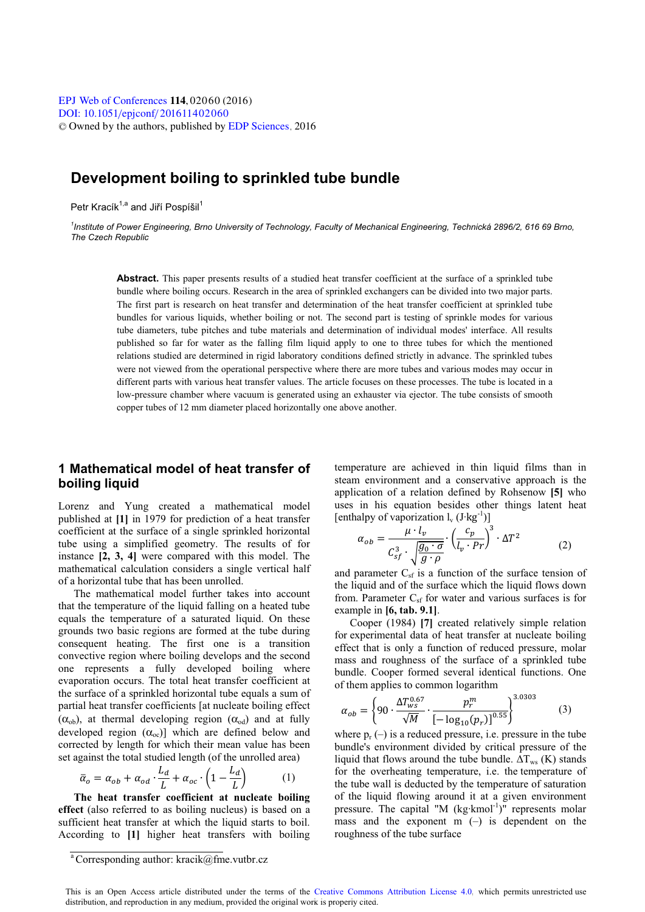# **Development boiling to sprinkled tube bundle**

Petr Kracík<sup>1,a</sup> and Jiří Pospíšil<sup>1</sup>

*1 Institute of Power Engineering, Brno University of Technology, Faculty of Mechanical Engineering, Technická 2896/2, 616 69 Brno, The Czech Republic* 

**Abstract.** This paper presents results of a studied heat transfer coefficient at the surface of a sprinkled tube bundle where boiling occurs. Research in the area of sprinkled exchangers can be divided into two major parts. The first part is research on heat transfer and determination of the heat transfer coefficient at sprinkled tube bundles for various liquids, whether boiling or not. The second part is testing of sprinkle modes for various tube diameters, tube pitches and tube materials and determination of individual modes' interface. All results published so far for water as the falling film liquid apply to one to three tubes for which the mentioned relations studied are determined in rigid laboratory conditions defined strictly in advance. The sprinkled tubes were not viewed from the operational perspective where there are more tubes and various modes may occur in different parts with various heat transfer values. The article focuses on these processes. The tube is located in a low-pressure chamber where vacuum is generated using an exhauster via ejector. The tube consists of smooth copper tubes of 12 mm diameter placed horizontally one above another.

# **1 Mathematical model of heat transfer of boiling liquid**

Lorenz and Yung created a mathematical model published at **[1]** in 1979 for prediction of a heat transfer coefficient at the surface of a single sprinkled horizontal tube using a simplified geometry. The results of for instance **[2, 3, 4]** were compared with this model. The mathematical calculation considers a single vertical half of a horizontal tube that has been unrolled.

The mathematical model further takes into account that the temperature of the liquid falling on a heated tube equals the temperature of a saturated liquid. On these grounds two basic regions are formed at the tube during consequent heating. The first one is a transition convective region where boiling develops and the second one represents a fully developed boiling where evaporation occurs. The total heat transfer coefficient at the surface of a sprinkled horizontal tube equals a sum of partial heat transfer coefficients [at nucleate boiling effect  $(\alpha_{\rm ob})$ , at thermal developing region  $(\alpha_{\rm od})$  and at fully developed region  $(\alpha_{\infty})$ ] which are defined below and corrected by length for which their mean value has been set against the total studied length (of the unrolled area)

$$
\bar{\alpha}_o = \alpha_{ob} + \alpha_{od} \cdot \frac{L_d}{L} + \alpha_{oc} \cdot \left(1 - \frac{L_d}{L}\right) \tag{1}
$$

**The heat transfer coefficient at nucleate boiling effect** (also referred to as boiling nucleus) is based on a sufficient heat transfer at which the liquid starts to boil. According to **[1]** higher heat transfers with boiling temperature are achieved in thin liquid films than in steam environment and a conservative approach is the application of a relation defined by Rohsenow **[5]** who uses in his equation besides other things latent heat [enthalpy of vaporization  $l_v$  (J·kg<sup>-1</sup>)]

$$
\alpha_{ob} = \frac{\mu \cdot l_v}{C_{sf}^3 \cdot \sqrt{\frac{g_0 \cdot \sigma}{g \cdot \rho}}} \cdot \left(\frac{c_p}{l_v \cdot Pr}\right)^3 \cdot \Delta T^2 \tag{2}
$$

and parameter  $C_{sf}$  is a function of the surface tension of the liquid and of the surface which the liquid flows down from. Parameter  $C_{sf}$  for water and various surfaces is for example in **[6, tab. 9.1]**.

Cooper (1984) **[7]** created relatively simple relation for experimental data of heat transfer at nucleate boiling effect that is only a function of reduced pressure, molar mass and roughness of the surface of a sprinkled tube bundle. Cooper formed several identical functions. One of them applies to common logarithm

$$
\alpha_{ob} = \left\{ 90 \cdot \frac{\Delta T_{ws}^{0.67}}{\sqrt{M}} \cdot \frac{p_r^m}{\left[ -\log_{10}(p_r) \right]^{0.55}} \right\}^{3.0303}
$$
(3)

where  $p_r(-)$  is a reduced pressure, i.e. pressure in the tube bundle's environment divided by critical pressure of the liquid that flows around the tube bundle.  $\Delta T_{ws}$  (K) stands for the overheating temperature, i.e. the temperature of the tube wall is deducted by the temperature of saturation of the liquid flowing around it at a given environment pressure. The capital "M  $(kg\cdot kmol^{-1})$ " represents molar mass and the exponent  $m$  (–) is dependent on the roughness of the tube surface

 $\sqrt[3]{\text{Corresponding author:} \text{kracik@fme.vutbr.cz}}$ 

This is an Open Access article distributed under the terms of the [Creative Commons Attribution License 4.0,](http://creativecommons.org/licenses/by/4.0) which permits unrestricted use distribution, and reproduction in any medium, provided the original work is properly cited.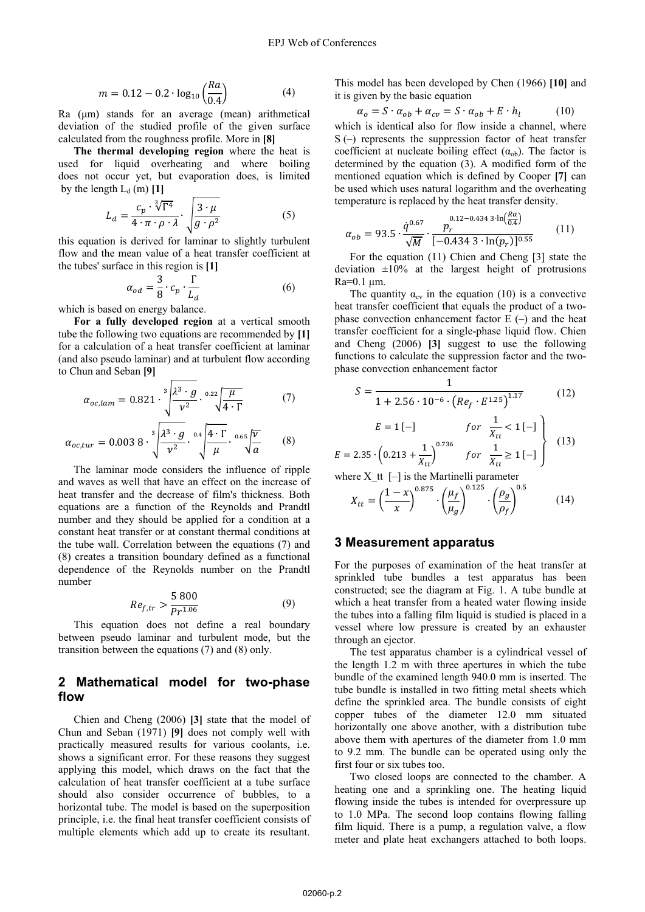$$
m = 0.12 - 0.2 \cdot \log_{10} \left( \frac{Ra}{0.4} \right) \tag{4}
$$

Ra  $(\mu m)$  stands for an average (mean) arithmetical deviation of the studied profile of the given surface calculated from the roughness profile. More in **[8]**

**The thermal developing region** where the heat is used for liquid overheating and where boiling does not occur yet, but evaporation does, is limited by the length  $L_d$  (m)  $[1]$ 

$$
L_d = \frac{c_p \cdot \sqrt[3]{\Gamma^4}}{4 \cdot \pi \cdot \rho \cdot \lambda} \cdot \sqrt{\frac{3 \cdot \mu}{g \cdot \rho^2}}
$$
(5)

this equation is derived for laminar to slightly turbulent flow and the mean value of a heat transfer coefficient at the tubes' surface in this region is **[1]**

$$
\alpha_{od} = \frac{3}{8} \cdot c_p \cdot \frac{\Gamma}{L_d} \tag{6}
$$

which is based on energy balance.

**For a fully developed region** at a vertical smooth tube the following two equations are recommended by **[1]** for a calculation of a heat transfer coefficient at laminar (and also pseudo laminar) and at turbulent flow according to Chun and Seban **[9]**

$$
\alpha_{oc,lam} = 0.821 \cdot \sqrt[3]{\frac{\lambda^3 \cdot g}{\nu^2} \cdot \frac{0.22 \sqrt{\mu}}{4 \cdot \Gamma}}
$$
 (7)

$$
\alpha_{oc,tur} = 0.0038 \cdot \sqrt[3]{\frac{\lambda^3 \cdot g}{\nu^2}} \cdot \sqrt[0.4]{\frac{4 \cdot \Gamma}{\mu}} \cdot \sqrt[0.65]{\frac{\nu}{a}} \tag{8}
$$

The laminar mode considers the influence of ripple and waves as well that have an effect on the increase of heat transfer and the decrease of film's thickness. Both equations are a function of the Reynolds and Prandtl number and they should be applied for a condition at a constant heat transfer or at constant thermal conditions at the tube wall. Correlation between the equations (7) and (8) creates a transition boundary defined as a functional dependence of the Reynolds number on the Prandtl number

$$
Re_{f,tr} > \frac{5\,800}{Pr^{1.06}}
$$
 (9)

This equation does not define a real boundary between pseudo laminar and turbulent mode, but the transition between the equations (7) and (8) only.

## **2 Mathematical model for two-phase flow**

Chien and Cheng (2006) **[3]** state that the model of Chun and Seban (1971) **[9]** does not comply well with practically measured results for various coolants, i.e. shows a significant error. For these reasons they suggest applying this model, which draws on the fact that the calculation of heat transfer coefficient at a tube surface should also consider occurrence of bubbles, to a horizontal tube. The model is based on the superposition principle, i.e. the final heat transfer coefficient consists of multiple elements which add up to create its resultant. This model has been developed by Chen (1966) **[10]** and it is given by the basic equation

$$
\alpha_o = S \cdot \alpha_{ob} + \alpha_{cv} = S \cdot \alpha_{ob} + E \cdot h_l \tag{10}
$$

which is identical also for flow inside a channel, where  $S(-)$  represents the suppression factor of heat transfer coefficient at nucleate boiling effect  $(\alpha_{ob})$ . The factor is determined by the equation (3). A modified form of the mentioned equation which is defined by Cooper **[7]** can be used which uses natural logarithm and the overheating temperature is replaced by the heat transfer density.

$$
\alpha_{ob} = 93.5 \cdot \frac{\dot{q}^{0.67}}{\sqrt{M}} \cdot \frac{p_r^{0.12 - 0.434 \cdot 3 \cdot \ln\left(\frac{Ra}{0.4}\right)}}{[-0.434 \cdot 3 \cdot \ln(p_r)]^{0.55}}
$$
(11)

For the equation (11) Chien and Cheng [3] state the deviation  $\pm 10\%$  at the largest height of protrusions Ra=0.1 
m.

The quantity  $\alpha_{cv}$  in the equation (10) is a convective heat transfer coefficient that equals the product of a twophase convection enhancement factor  $E(-)$  and the heat transfer coefficient for a single-phase liquid flow. Chien and Cheng (2006) **[3]** suggest to use the following functions to calculate the suppression factor and the twophase convection enhancement factor

$$
S = \frac{1}{1 + 2.56 \cdot 10^{-6} \cdot \left( Re_f \cdot E^{1.25} \right)^{1.17}}
$$
 (12)

$$
E = 1 [-] \quad for \frac{1}{X_{tt}} < 1 [-] \n\left\{ E = 2.35 \cdot \left( 0.213 + \frac{1}{X_{tt}} \right)^{0.736} \quad for \frac{1}{X_{tt}} \ge 1 [-] \right\} \quad (13)
$$

where X <sup>tt</sup>  $[-]$  is the Martinelli parameter

$$
X_{tt} = \left(\frac{1-x}{x}\right)^{0.875} \cdot \left(\frac{\mu_f}{\mu_g}\right)^{0.125} \cdot \left(\frac{\rho_g}{\rho_f}\right)^{0.5} \tag{14}
$$

#### **3 Measurement apparatus**

For the purposes of examination of the heat transfer at sprinkled tube bundles a test apparatus has been constructed; see the diagram at Fig. 1. A tube bundle at which a heat transfer from a heated water flowing inside the tubes into a falling film liquid is studied is placed in a vessel where low pressure is created by an exhauster through an ejector.

The test apparatus chamber is a cylindrical vessel of the length 1.2 m with three apertures in which the tube bundle of the examined length 940.0 mm is inserted. The tube bundle is installed in two fitting metal sheets which define the sprinkled area. The bundle consists of eight copper tubes of the diameter 12.0 mm situated horizontally one above another, with a distribution tube above them with apertures of the diameter from 1.0 mm to 9.2 mm. The bundle can be operated using only the first four or six tubes too.

Two closed loops are connected to the chamber. A heating one and a sprinkling one. The heating liquid flowing inside the tubes is intended for overpressure up to 1.0 MPa. The second loop contains flowing falling film liquid. There is a pump, a regulation valve, a flow meter and plate heat exchangers attached to both loops.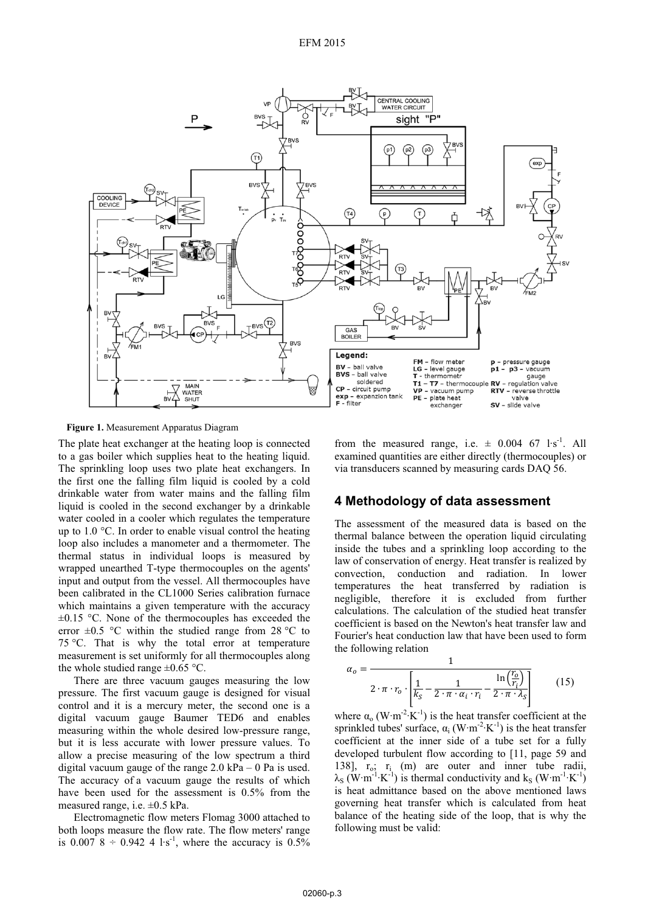

**Figure 1.** Measurement Apparatus Diagram

The plate heat exchanger at the heating loop is connected to a gas boiler which supplies heat to the heating liquid. The sprinkling loop uses two plate heat exchangers. In the first one the falling film liquid is cooled by a cold drinkable water from water mains and the falling film liquid is cooled in the second exchanger by a drinkable water cooled in a cooler which regulates the temperature up to 1.0 °C. In order to enable visual control the heating loop also includes a manometer and a thermometer. The thermal status in individual loops is measured by wrapped unearthed T-type thermocouples on the agents' input and output from the vessel. All thermocouples have been calibrated in the CL1000 Series calibration furnace which maintains a given temperature with the accuracy  $\pm 0.15$  °C. None of the thermocouples has exceeded the error  $\pm 0.5$  °C within the studied range from 28 °C to 75 °C. That is why the total error at temperature measurement is set uniformly for all thermocouples along the whole studied range  $\pm 0.65$  °C.

There are three vacuum gauges measuring the low pressure. The first vacuum gauge is designed for visual control and it is a mercury meter, the second one is a digital vacuum gauge Baumer TED6 and enables measuring within the whole desired low-pressure range, but it is less accurate with lower pressure values. To allow a precise measuring of the low spectrum a third digital vacuum gauge of the range  $2.0 \text{ kPa} - 0 \text{ Pa}$  is used. The accuracy of a vacuum gauge the results of which have been used for the assessment is 0.5% from the measured range, i.e. ±0.5 kPa.

Electromagnetic flow meters Flomag 3000 attached to both loops measure the flow rate. The flow meters' range is 0.007 8  $\div$  0.942 4 l·s<sup>-1</sup>, where the accuracy is 0.5%

from the measured range, i.e.  $\pm$  0.004 67 l·s<sup>-1</sup>. All examined quantities are either directly (thermocouples) or via transducers scanned by measuring cards DAQ 56.

## **4 Methodology of data assessment**

The assessment of the measured data is based on the thermal balance between the operation liquid circulating inside the tubes and a sprinkling loop according to the law of conservation of energy. Heat transfer is realized by convection, conduction and radiation. In lower temperatures the heat transferred by radiation is negligible, therefore it is excluded from further calculations. The calculation of the studied heat transfer coefficient is based on the Newton's heat transfer law and Fourier's heat conduction law that have been used to form the following relation

$$
\alpha_o = \frac{1}{2 \cdot \pi \cdot r_o \cdot \left| \frac{1}{k_S} - \frac{1}{2 \cdot \pi \cdot \alpha_i \cdot r_i} - \frac{\ln\left(\frac{r_o}{r_i}\right)}{2 \cdot \pi \cdot \lambda_S} \right|} \tag{15}
$$

where  $\alpha_0$  (W·m<sup>-2</sup>·K<sup>-1</sup>) is the heat transfer coefficient at the sprinkled tubes' surface,  $\alpha_i$  (W·m<sup>-2</sup>·K<sup>-1</sup>) is the heat transfer coefficient at the inner side of a tube set for a fully developed turbulent flow according to [11, page 59 and 138],  $r_o$ ;  $r_i$  (m) are outer and inner tube radii,  $\lambda_{\rm S}$  (W·m<sup>-1</sup>·K<sup>-1</sup>) is thermal conductivity and k<sub>S</sub> (W·m<sup>-1</sup>·K<sup>-1</sup>) is heat admittance based on the above mentioned laws governing heat transfer which is calculated from heat balance of the heating side of the loop, that is why the following must be valid: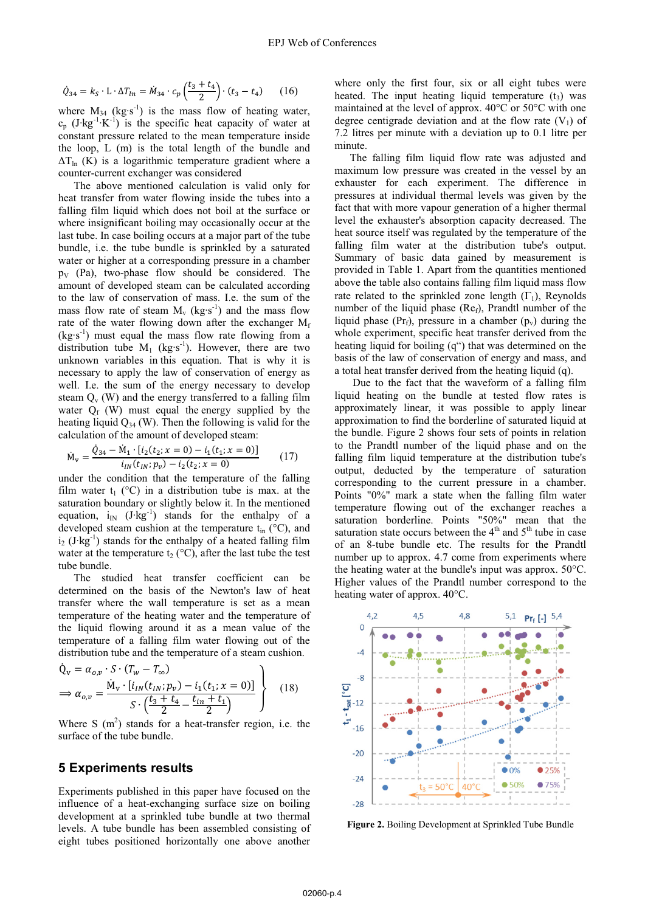$$
\dot{Q}_{34} = k_S \cdot \mathbf{L} \cdot \Delta T_{ln} = \dot{M}_{34} \cdot c_p \left(\frac{t_3 + t_4}{2}\right) \cdot (t_3 - t_4) \tag{16}
$$

where  $M_{34}$  (kg·s<sup>-1</sup>) is the mass flow of heating water,  $c_p$  (J·kg<sup>-1</sup>·K<sup>-1</sup>) is the specific heat capacity of water at constant pressure related to the mean temperature inside the loop, L (m) is the total length of the bundle and  $\Delta T_{\ln}$  (K) is a logarithmic temperature gradient where a counter-current exchanger was considered

The above mentioned calculation is valid only for heat transfer from water flowing inside the tubes into a falling film liquid which does not boil at the surface or where insignificant boiling may occasionally occur at the last tube. In case boiling occurs at a major part of the tube bundle, i.e. the tube bundle is sprinkled by a saturated water or higher at a corresponding pressure in a chamber  $p_V$  (Pa), two-phase flow should be considered. The amount of developed steam can be calculated according to the law of conservation of mass. I.e. the sum of the mass flow rate of steam  $M_v$  (kg·s<sup>-1</sup>) and the mass flow rate of the water flowing down after the exchanger  $M_f$  $(kg·s<sup>-1</sup>)$  must equal the mass flow rate flowing from a distribution tube  $M_1$  (kg·s<sup>-1</sup>). However, there are two unknown variables in this equation. That is why it is necessary to apply the law of conservation of energy as well. I.e. the sum of the energy necessary to develop steam  $Q_v$  (W) and the energy transferred to a falling film water  $O_f$  (W) must equal the energy supplied by the heating liquid  $Q_{34}$  (W). Then the following is valid for the calculation of the amount of developed steam:

$$
\dot{M}_{v} = \frac{\dot{Q}_{34} - \dot{M}_{1} \cdot [i_{2}(t_{2}; x = 0) - i_{1}(t_{1}; x = 0)]}{i_{IN}(t_{IN}; p_{v}) - i_{2}(t_{2}; x = 0)}
$$
(17)

under the condition that the temperature of the falling film water  $t_1$  (°C) in a distribution tube is max. at the saturation boundary or slightly below it. In the mentioned equation,  $i_{N}$  (J·kg<sup>-1</sup>) stands for the enthalpy of a developed steam cushion at the temperature  $t_{in}$  ( $\rm{°C}$ ), and  $i_2$  (J·kg<sup>-1</sup>) stands for the enthalpy of a heated falling film water at the temperature  $t_2$  (°C), after the last tube the test tube bundle.

The studied heat transfer coefficient can be determined on the basis of the Newton's law of heat transfer where the wall temperature is set as a mean temperature of the heating water and the temperature of the liquid flowing around it as a mean value of the temperature of a falling film water flowing out of the distribution tube and the temperature of a steam cushion.

$$
\dot{Q}_v = \alpha_{o,v} \cdot S \cdot (T_w - T_{\infty}) \n\Rightarrow \alpha_{o,v} = \frac{\dot{M}_v \cdot [i_{IN}(t_{IN}; p_v) - i_1(t_1; x = 0)]}{S \cdot (\frac{t_3 + t_4}{2} - \frac{t_{in} + t_1}{2})}
$$
\n(18)

Where S  $(m<sup>2</sup>)$  stands for a heat-transfer region, i.e. the surface of the tube bundle.

### **5 Experiments results**

Experiments published in this paper have focused on the influence of a heat-exchanging surface size on boiling development at a sprinkled tube bundle at two thermal levels. A tube bundle has been assembled consisting of eight tubes positioned horizontally one above another

where only the first four, six or all eight tubes were heated. The input heating liquid temperature  $(t_3)$  was maintained at the level of approx. 40°C or 50°C with one degree centigrade deviation and at the flow rate  $(V_1)$  of 7.2 litres per minute with a deviation up to 0.1 litre per minute.

The falling film liquid flow rate was adjusted and maximum low pressure was created in the vessel by an exhauster for each experiment. The difference in pressures at individual thermal levels was given by the fact that with more vapour generation of a higher thermal level the exhauster's absorption capacity decreased. The heat source itself was regulated by the temperature of the falling film water at the distribution tube's output. Summary of basic data gained by measurement is provided in Table 1. Apart from the quantities mentioned above the table also contains falling film liquid mass flow rate related to the sprinkled zone length  $(\Gamma_1)$ , Reynolds number of the liquid phase  $(Re<sub>f</sub>)$ , Prandtl number of the liquid phase (Pr<sub>f</sub>), pressure in a chamber ( $p_v$ ) during the whole experiment, specific heat transfer derived from the heating liquid for boiling (q") that was determined on the basis of the law of conservation of energy and mass, and a total heat transfer derived from the heating liquid (q).

 Due to the fact that the waveform of a falling film liquid heating on the bundle at tested flow rates is approximately linear, it was possible to apply linear approximation to find the borderline of saturated liquid at the bundle. Figure 2 shows four sets of points in relation to the Prandtl number of the liquid phase and on the falling film liquid temperature at the distribution tube's output, deducted by the temperature of saturation corresponding to the current pressure in a chamber. Points "0%" mark a state when the falling film water temperature flowing out of the exchanger reaches a saturation borderline. Points "50%" mean that the saturation state occurs between the  $4<sup>th</sup>$  and  $5<sup>th</sup>$  tube in case of an 8-tube bundle etc. The results for the Prandtl number up to approx. 4.7 come from experiments where the heating water at the bundle's input was approx. 50°C. Higher values of the Prandtl number correspond to the heating water of approx. 40°C.



**Figure 2.** Boiling Development at Sprinkled Tube Bundle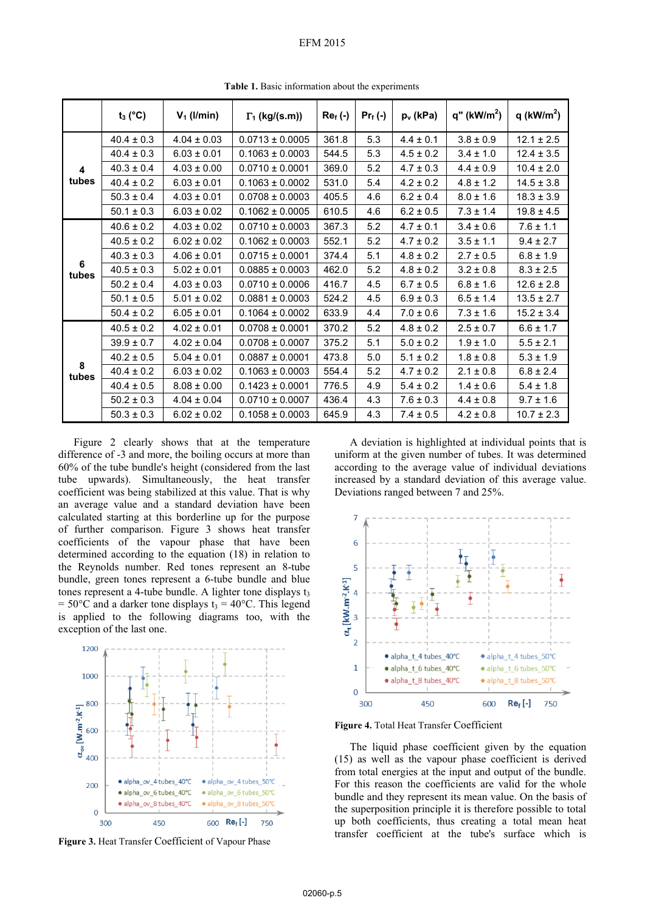#### EFM 2015

|            | $t_3$ (°C)     | $V_1$ (I/min)   | $\Gamma_1$ (kg/(s.m)) | $Re_f(-)$ | $Pr_f(-)$ | $p_v$ (kPa)   | $q''$ (kW/m <sup>2</sup> ) | q (kW/m <sup>2</sup> ) |
|------------|----------------|-----------------|-----------------------|-----------|-----------|---------------|----------------------------|------------------------|
| 4<br>tubes | $40.4 \pm 0.3$ | $4.04 \pm 0.03$ | $0.0713 \pm 0.0005$   | 361.8     | 5.3       | $4.4 \pm 0.1$ | $3.8 \pm 0.9$              | $12.1 \pm 2.5$         |
|            | $40.4 \pm 0.3$ | $6.03 \pm 0.01$ | $0.1063 \pm 0.0003$   | 544.5     | 5.3       | $4.5 \pm 0.2$ | $3.4 \pm 1.0$              | $12.4 \pm 3.5$         |
|            | $40.3 \pm 0.4$ | $4.03 \pm 0.00$ | $0.0710 \pm 0.0001$   | 369.0     | 5.2       | $4.7 \pm 0.3$ | $4.4 \pm 0.9$              | $10.4 \pm 2.0$         |
|            | $40.4 \pm 0.2$ | $6.03 \pm 0.01$ | $0.1063 \pm 0.0002$   | 531.0     | 5.4       | $4.2 \pm 0.2$ | $4.8 \pm 1.2$              | $14.5 \pm 3.8$         |
|            | $50.3 \pm 0.4$ | $4.03 \pm 0.01$ | $0.0708 \pm 0.0003$   | 405.5     | 4.6       | $6.2 \pm 0.4$ | $8.0 \pm 1.6$              | $18.3 \pm 3.9$         |
|            | $50.1 \pm 0.3$ | $6.03 \pm 0.02$ | $0.1062 \pm 0.0005$   | 610.5     | 4.6       | $6.2 \pm 0.5$ | $7.3 \pm 1.4$              | $19.8 \pm 4.5$         |
| 6<br>tubes | $40.6 \pm 0.2$ | $4.03 \pm 0.02$ | $0.0710 \pm 0.0003$   | 367.3     | 5.2       | $4.7 \pm 0.1$ | $3.4 \pm 0.6$              | $7.6 \pm 1.1$          |
|            | $40.5 \pm 0.2$ | $6.02 \pm 0.02$ | $0.1062 \pm 0.0003$   | 552.1     | 5.2       | $4.7 \pm 0.2$ | $3.5 \pm 1.1$              | $9.4 \pm 2.7$          |
|            | $40.3 \pm 0.3$ | $4.06 \pm 0.01$ | $0.0715 \pm 0.0001$   | 374.4     | 5.1       | $4.8 \pm 0.2$ | $2.7 \pm 0.5$              | $6.8 \pm 1.9$          |
|            | $40.5 \pm 0.3$ | $5.02 \pm 0.01$ | $0.0885 \pm 0.0003$   | 462.0     | 5.2       | $4.8 \pm 0.2$ | $3.2 \pm 0.8$              | $8.3 \pm 2.5$          |
|            | $50.2 \pm 0.4$ | $4.03 \pm 0.03$ | $0.0710 \pm 0.0006$   | 416.7     | 4.5       | $6.7 \pm 0.5$ | $6.8 \pm 1.6$              | $12.6 \pm 2.8$         |
|            | $50.1 \pm 0.5$ | $5.01 \pm 0.02$ | $0.0881 \pm 0.0003$   | 524.2     | 4.5       | $6.9 \pm 0.3$ | $6.5 \pm 1.4$              | $13.5 \pm 2.7$         |
|            | $50.4 \pm 0.2$ | $6.05 \pm 0.01$ | $0.1064 \pm 0.0002$   | 633.9     | 4.4       | $7.0 \pm 0.6$ | $7.3 \pm 1.6$              | $15.2 \pm 3.4$         |
| 8<br>tubes | $40.5 \pm 0.2$ | $4.02 \pm 0.01$ | $0.0708 \pm 0.0001$   | 370.2     | 5.2       | $4.8 \pm 0.2$ | $2.5 \pm 0.7$              | $6.6 \pm 1.7$          |
|            | $39.9 \pm 0.7$ | $4.02 \pm 0.04$ | $0.0708 \pm 0.0007$   | 375.2     | 5.1       | $5.0 \pm 0.2$ | $1.9 \pm 1.0$              | $5.5 \pm 2.1$          |
|            | $40.2 \pm 0.5$ | $5.04 \pm 0.01$ | $0.0887 \pm 0.0001$   | 473.8     | 5.0       | $5.1 \pm 0.2$ | $1.8 \pm 0.8$              | $5.3 \pm 1.9$          |
|            | $40.4 \pm 0.2$ | $6.03 \pm 0.02$ | $0.1063 \pm 0.0003$   | 554.4     | 5.2       | $4.7 \pm 0.2$ | $2.1 \pm 0.8$              | $6.8 \pm 2.4$          |
|            | $40.4 \pm 0.5$ | $8.08 \pm 0.00$ | $0.1423 \pm 0.0001$   | 776.5     | 4.9       | $5.4 \pm 0.2$ | $1.4 \pm 0.6$              | $5.4 \pm 1.8$          |
|            | $50.2 \pm 0.3$ | $4.04 \pm 0.04$ | $0.0710 \pm 0.0007$   | 436.4     | 4.3       | $7.6 \pm 0.3$ | $4.4 \pm 0.8$              | $9.7 \pm 1.6$          |
|            | $50.3 \pm 0.3$ | $6.02 \pm 0.02$ | $0.1058 \pm 0.0003$   | 645.9     | 4.3       | $7.4 \pm 0.5$ | $4.2 \pm 0.8$              | $10.7 \pm 2.3$         |

**Table 1.** Basic information about the experiments

Figure 2 clearly shows that at the temperature difference of -3 and more, the boiling occurs at more than 60% of the tube bundle's height (considered from the last tube upwards). Simultaneously, the heat transfer coefficient was being stabilized at this value. That is why an average value and a standard deviation have been calculated starting at this borderline up for the purpose of further comparison. Figure 3 shows heat transfer coefficients of the vapour phase that have been determined according to the equation (18) in relation to the Reynolds number. Red tones represent an 8-tube bundle, green tones represent a 6-tube bundle and blue tones represent a 4-tube bundle. A lighter tone displays  $t_3$  $= 50^{\circ}$ C and a darker tone displays t<sub>3</sub> = 40°C. This legend is applied to the following diagrams too, with the exception of the last one.



**Figure 3.** Heat Transfer Coefficient of Vapour Phase

A deviation is highlighted at individual points that is uniform at the given number of tubes. It was determined according to the average value of individual deviations increased by a standard deviation of this average value. Deviations ranged between 7 and 25%.



**Figure 4.** Total Heat Transfer Coefficient

The liquid phase coefficient given by the equation (15) as well as the vapour phase coefficient is derived from total energies at the input and output of the bundle. For this reason the coefficients are valid for the whole bundle and they represent its mean value. On the basis of the superposition principle it is therefore possible to total up both coefficients, thus creating a total mean heat transfer coefficient at the tube's surface which is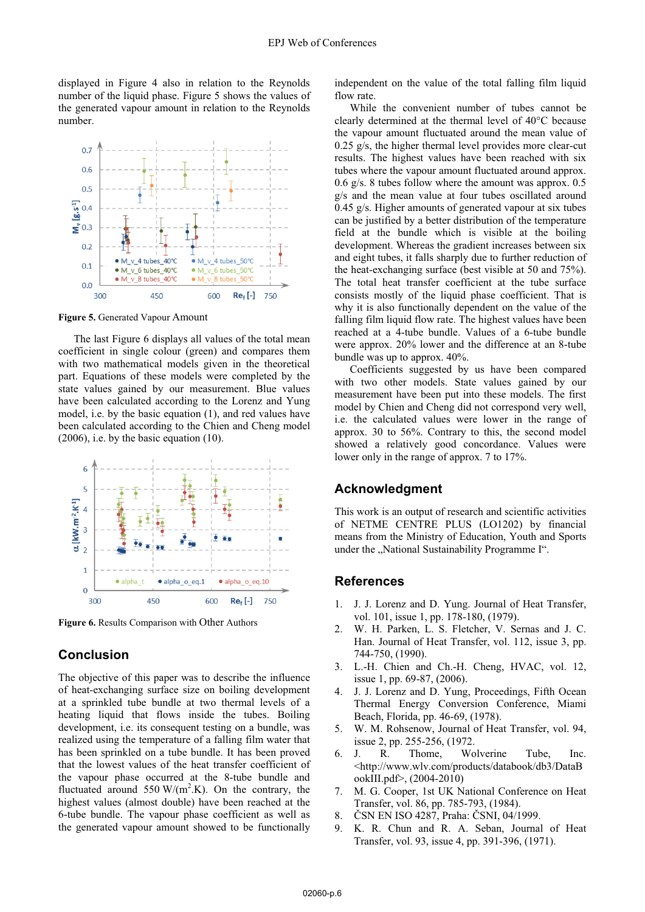displayed in Figure 4 also in relation to the Reynolds number of the liquid phase. Figure 5 shows the values of the generated vapour amount in relation to the Reynolds number.



**Figure 5.** Generated Vapour Amount

The last Figure 6 displays all values of the total mean coefficient in single colour (green) and compares them with two mathematical models given in the theoretical part. Equations of these models were completed by the state values gained by our measurement. Blue values have been calculated according to the Lorenz and Yung model, i.e. by the basic equation (1), and red values have been calculated according to the Chien and Cheng model  $(2006)$ , i.e. by the basic equation  $(10)$ .



**Figure 6.** Results Comparison with Other Authors

## **Conclusion**

The objective of this paper was to describe the influence of heat-exchanging surface size on boiling development at a sprinkled tube bundle at two thermal levels of a heating liquid that flows inside the tubes. Boiling development, i.e. its consequent testing on a bundle, was realized using the temperature of a falling film water that has been sprinkled on a tube bundle. It has been proved that the lowest values of the heat transfer coefficient of the vapour phase occurred at the 8-tube bundle and fluctuated around 550 W/( $m^2$ .K). On the contrary, the highest values (almost double) have been reached at the 6-tube bundle. The vapour phase coefficient as well as the generated vapour amount showed to be functionally

independent on the value of the total falling film liquid flow rate.

While the convenient number of tubes cannot be clearly determined at the thermal level of 40°C because the vapour amount fluctuated around the mean value of 0.25 g/s, the higher thermal level provides more clear-cut results. The highest values have been reached with six tubes where the vapour amount fluctuated around approx. 0.6 g/s. 8 tubes follow where the amount was approx. 0.5 g/s and the mean value at four tubes oscillated around 0.45 g/s. Higher amounts of generated vapour at six tubes can be justified by a better distribution of the temperature field at the bundle which is visible at the boiling development. Whereas the gradient increases between six and eight tubes, it falls sharply due to further reduction of the heat-exchanging surface (best visible at 50 and 75%). The total heat transfer coefficient at the tube surface consists mostly of the liquid phase coefficient. That is why it is also functionally dependent on the value of the falling film liquid flow rate. The highest values have been reached at a 4-tube bundle. Values of a 6-tube bundle were approx. 20% lower and the difference at an 8-tube bundle was up to approx. 40%.

Coefficients suggested by us have been compared with two other models. State values gained by our measurement have been put into these models. The first model by Chien and Cheng did not correspond very well, i.e. the calculated values were lower in the range of approx. 30 to 56%. Contrary to this, the second model showed a relatively good concordance. Values were lower only in the range of approx. 7 to 17%.

### **Acknowledgment**

This work is an output of research and scientific activities of NETME CENTRE PLUS (LO1202) by financial means from the Ministry of Education, Youth and Sports under the "National Sustainability Programme I".

#### **References**

- 1. J. J. Lorenz and D. Yung. Journal of Heat Transfer, vol. 101, issue 1, pp. 178-180, (1979).
- 2. W. H. Parken, L. S. Fletcher, V. Sernas and J. C. Han. Journal of Heat Transfer, vol. 112, issue 3, pp. 744-750, (1990).
- 3. L.-H. Chien and Ch.-H. Cheng, HVAC, vol. 12, issue 1, pp. 69-87, (2006).
- 4. J. J. Lorenz and D. Yung, Proceedings, Fifth Ocean Thermal Energy Conversion Conference, Miami Beach, Florida, pp. 46-69, (1978).
- 5. W. M. Rohsenow, Journal of Heat Transfer, vol. 94, issue 2, pp. 255-256, (1972.
- 6. J. R. Thome, Wolverine Tube, Inc. <http://www.wlv.com/products/databook/db3/DataB ookIII.pdf>, (2004-2010)
- 7. M. G. Cooper, 1st UK National Conference on Heat Transfer, vol. 86, pp. 785-793, (1984).
- 8. ČSN EN ISO 4287, Praha: ČSNI, 04/1999.
- 9. K. R. Chun and R. A. Seban, Journal of Heat Transfer, vol. 93, issue 4, pp. 391-396, (1971).